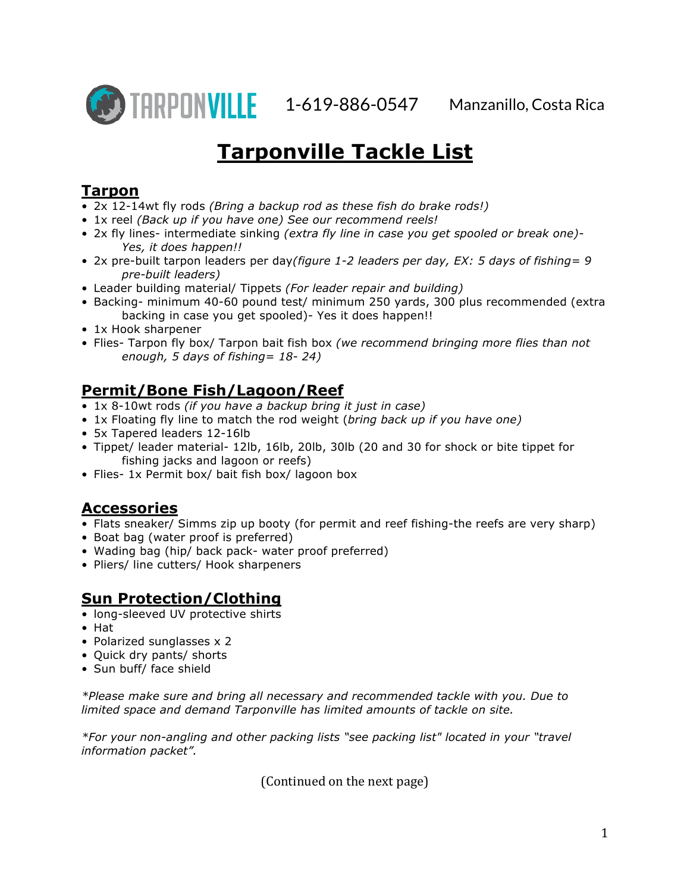

# **Tarponville Tackle List**

### **Tarpon**

- 2x 12-14wt fly rods *(Bring a backup rod as these fish do brake rods!)*
- 1x reel *(Back up if you have one) See our recommend reels!*
- 2x fly lines- intermediate sinking *(extra fly line in case you get spooled or break one)- Yes, it does happen!!*
- 2x pre-built tarpon leaders per day*(figure 1-2 leaders per day, EX: 5 days of fishing= 9 pre-built leaders)*
- Leader building material/ Tippets *(For leader repair and building)*
- Backing- minimum 40-60 pound test/ minimum 250 yards, 300 plus recommended (extra backing in case you get spooled)- Yes it does happen!!
- 1x Hook sharpener
- Flies- Tarpon fly box/ Tarpon bait fish box *(we recommend bringing more flies than not enough, 5 days of fishing= 18- 24)*

## **Permit/Bone Fish/Lagoon/Reef**

- 1x 8-10wt rods *(if you have a backup bring it just in case)*
- 1x Floating fly line to match the rod weight (*bring back up if you have one)*
- 5x Tapered leaders 12-16lb
- Tippet/ leader material- 12lb, 16lb, 20lb, 30lb (20 and 30 for shock or bite tippet for fishing jacks and lagoon or reefs)
- Flies- 1x Permit box/ bait fish box/ lagoon box

#### **Accessories**

- Flats sneaker/ Simms zip up booty (for permit and reef fishing-the reefs are very sharp)
- Boat bag (water proof is preferred)
- Wading bag (hip/ back pack- water proof preferred)
- Pliers/ line cutters/ Hook sharpeners

#### **Sun Protection/Clothing**

- long-sleeved UV protective shirts
- Hat
- Polarized sunglasses x 2
- Quick dry pants/ shorts
- Sun buff/ face shield

*\*Please make sure and bring all necessary and recommended tackle with you. Due to limited space and demand Tarponville has limited amounts of tackle on site.*

*\*For your non-angling and other packing lists "see packing list" located in your "travel information packet".*

(Continued on the next page)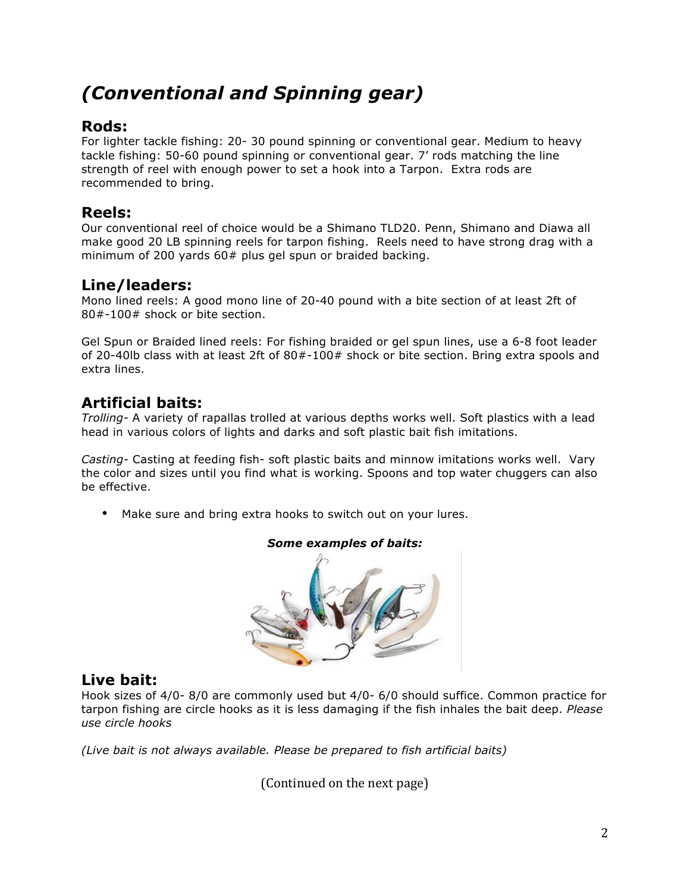# *(Conventional and Spinning gear)*

#### **Rods:**

For lighter tackle fishing: 20- 30 pound spinning or conventional gear. Medium to heavy tackle fishing: 50-60 pound spinning or conventional gear. 7' rods matching the line strength of reel with enough power to set a hook into a Tarpon. Extra rods are recommended to bring.

### **Reels:**

Our conventional reel of choice would be a Shimano TLD20. Penn, Shimano and Diawa all make good 20 LB spinning reels for tarpon fishing. Reels need to have strong drag with a minimum of 200 yards 60# plus gel spun or braided backing.

**Line/leaders:**<br>Mono lined reels: A good mono line of 20-40 pound with a bite section of at least 2ft of 80#-100# shock or bite section.

Gel Spun or Braided lined reels: For fishing braided or gel spun lines, use a 6-8 foot leader of 20-40lb class with at least 2ft of 80#-100# shock or bite section. Bring extra spools and extra lines.

## **Artificial baits:**

*Trolling-* A variety of rapallas trolled at various depths works well. Soft plastics with a lead head in various colors of lights and darks and soft plastic bait fish imitations.

*Casting-* Casting at feeding fish- soft plastic baits and minnow imitations works well. Vary the color and sizes until you find what is working. Spoons and top water chuggers can also be effective.

• Make sure and bring extra hooks to switch out on your lures.



#### *Some examples of baits:*

#### **Live bait:**

Hook sizes of 4/0- 8/0 are commonly used but 4/0- 6/0 should suffice. Common practice for tarpon fishing are circle hooks as it is less damaging if the fish inhales the bait deep. *Please use circle hooks*

*(Live bait is not always available. Please be prepared to fish artificial baits)*

(Continued on the next page)